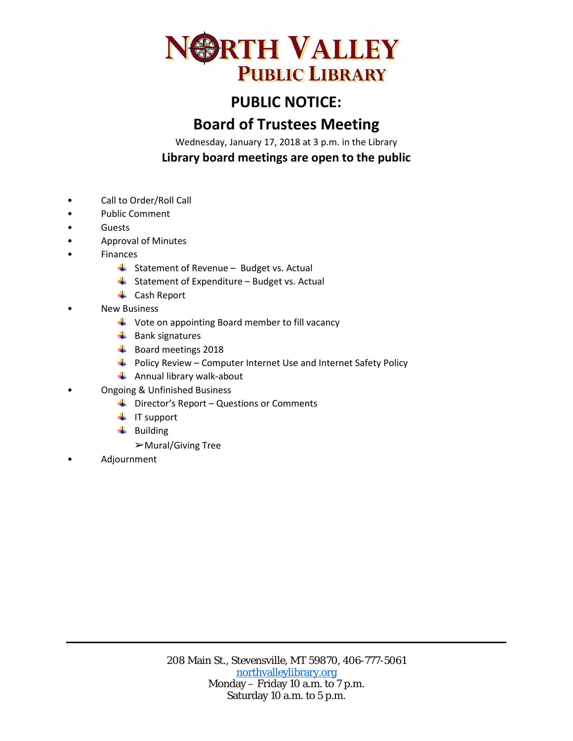

## **PUBLIC NOTICE:**

## **Board of Trustees Meeting**

Wednesday, January 17, 2018 at 3 p.m. in the Library **Library board meetings are open to the public**

- Call to Order/Roll Call
- Public Comment
- Guests
- Approval of Minutes
- **Finances** 
	- $\triangleq$  Statement of Revenue Budget vs. Actual
	- $\triangleq$  Statement of Expenditure Budget vs. Actual
	- **↓** Cash Report
- **New Business** 
	- $\overline{\phantom{a}}$  Vote on appointing Board member to fill vacancy
	- $\frac{1}{2}$  Bank signatures
	- Board meetings 2018
	- $\overline{\phantom{a}^+}$  Policy Review Computer Internet Use and Internet Safety Policy
	- $\triangleq$  Annual library walk-about
- Ongoing & Unfinished Business
	- $\overline{\phantom{a} \bullet}$  Director's Report Questions or Comments
	- $\blacksquare$  IT support
	- $\leftarrow$  Building
		- ➢Mural/Giving Tree
- Adjournment